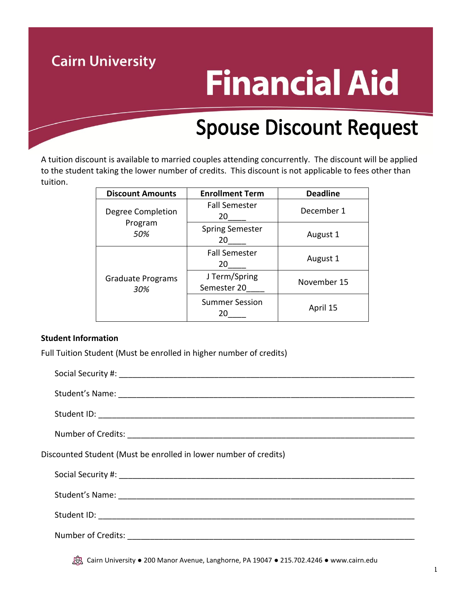## **Cairn University Financial Aid Spouse Discount Request**

A tuition discount is available to married couples attending concurrently. The discount will be applied to the student taking the lower number of credits. This discount is not applicable to fees other than tuition.

| <b>Discount Amounts</b>             | <b>Enrollment Term</b>       | <b>Deadline</b> |
|-------------------------------------|------------------------------|-----------------|
| Degree Completion<br>Program<br>50% | <b>Fall Semester</b><br>20   | December 1      |
|                                     | <b>Spring Semester</b><br>20 | August 1        |
| <b>Graduate Programs</b><br>30%     | <b>Fall Semester</b><br>20   | August 1        |
|                                     | J Term/Spring<br>Semester 20 | November 15     |
|                                     | <b>Summer Session</b><br>20  | April 15        |

## **Student Information**

Full Tuition Student (Must be enrolled in higher number of credits)

| Discounted Student (Must be enrolled in lower number of credits) |
|------------------------------------------------------------------|
|                                                                  |
|                                                                  |
|                                                                  |
|                                                                  |
|                                                                  |

Cairn University ● 200 Manor Avenue, Langhorne, PA 19047 ● 215.702.4246 ● www.cairn.edu